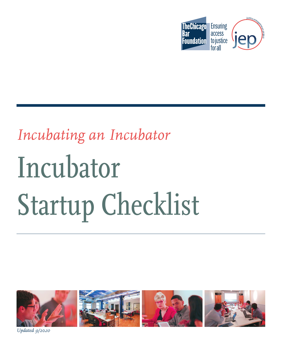

# *Incubating an Incubator*  Incubator Startup Checklist



*Updated 9/20<sup>20</sup>*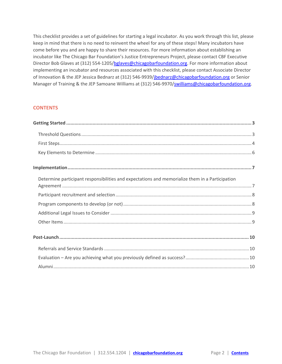<span id="page-1-0"></span>This checklist provides a set of guidelines for starting a legal incubator. As you work through this list, please keep in mind that there is no need to reinvent the wheel for any of these steps! Many incubators have come before you and are happy to share their resources. For more information about establishing an incubator like The Chicago Bar Foundation's Justice Entrepreneurs Project, please contact CBF Executive Director Bob Glaves at (312) 554-1205[/bglaves@chicagobarfoundation.org.](mailto:bglaves@chicagobarfoundation.org) For more information about implementing an incubator and resources associated with this checklist, please contact Associate Director of Innovation & the JEP Jessica Bednarz at (312) 546-9939[/jbednarz@chicagobarfoundation.org](mailto:jbednarz@chicagobarfoundation.org) or Senior Manager of Training & the JEP Samoane Williams at (312) 546-9970[/swilliams@chicagobarfoundation.org.](mailto:swilliams@chicagobarfoundation.org)

## **CONTENTS**

| Determine participant responsibilities and expectations and memorialize them in a Participation |  |
|-------------------------------------------------------------------------------------------------|--|
|                                                                                                 |  |
|                                                                                                 |  |
|                                                                                                 |  |
|                                                                                                 |  |
|                                                                                                 |  |
|                                                                                                 |  |
|                                                                                                 |  |
|                                                                                                 |  |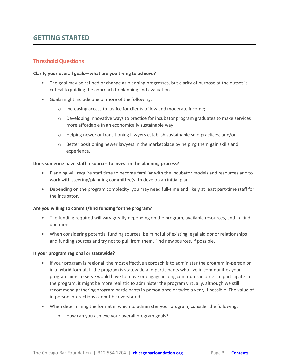# <span id="page-2-0"></span>**GETTING STARTED**

# <span id="page-2-1"></span>**Threshold Questions**

#### **Clarify your overall goals—what are you trying to achieve?**

- The goal may be refined or change as planning progresses, but clarity of purpose at the outset is critical to guiding the approach to planning and evaluation.
- Goals might include one or more of the following:
	- o Increasing access to justice for clients of low and moderate income;
	- $\circ$  Developing innovative ways to practice for incubator program graduates to make services more affordable in an economically sustainable way.
	- o Helping newer or transitioning lawyers establish sustainable solo practices; and/or
	- $\circ$  Better positioning newer lawyers in the marketplace by helping them gain skills and experience.

#### **Does someone have staff resources to invest in the planning process?**

- Planning will require staff time to become familiar with the incubator models and resources and to work with steering/planning committee(s) to develop an initial plan.
- Depending on the program complexity, you may need full-time and likely at least part-time staff for the incubator.

#### **Are you willing to commit/find funding for the program?**

- The funding required will vary greatly depending on the program, available resources, and in-kind donations.
- When considering potential funding sources, be mindful of existing legal aid donor relationships and funding sources and try not to pull from them. Find new sources, if possible.

#### **Is your program regional or statewide?**

- If your program is regional, the most effective approach is to administer the program in-person or in a hybrid format. If the program is statewide and participants who live in communities your program aims to serve would have to move or engage in long commutes in order to participate in the program, it might be more realistic to administer the program virtually, although we still recommend gathering program participants in person once or twice a year, if possible. The value of in-person interactions cannot be overstated.
- When determining the format in which to administer your program, consider the following:
	- How can you achieve your overall program goals?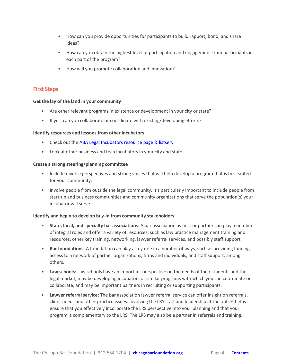- How can you provide opportunities for participants to build rapport, bond, and share ideas?
- How can you obtain the highest level of participation and engagement from participants in each part of the program?
- How will you promote collaboration and innovation?

# <span id="page-3-0"></span>**First Steps**

#### **Get the lay of the land in your community**

- Are other relevant programs in existence or development in your city or state?
- If yes, can you collaborate or coordinate with existing/developing efforts?

#### **Identify resources and lessons from other incubators**

- Check out the [ABA Legal Incubators resource page & listserv.](https://www.americanbar.org/groups/delivery_legal_services/initiatives_awards/program_main.html)
- Look at other business and tech incubators in your city and state.

#### **Create a strong steering/planning committee**

- Include diverse perspectives and strong voices that will help develop a program that is best suited for your community.
- Involve people from outside the legal community. It's particularly important to include people from start-up and business communities and community organizations that serve the population(s) your incubator will serve.

#### **Identify and begin to develop buy-in from community stakeholders**

- **State, local, and specialty bar associations**: A bar association as host or partner can play a number of integral roles and offer a variety of resources, such as law practice management training and resources, other key training, networking, lawyer referral services, and possibly staff support.
- **Bar foundations**: A foundation can play a key role in a number of ways, such as providing funding, access to a network of partner organizations, firms and individuals, and staff support, among others.
- **Law schools**: Law schools have an important perspective on the needs of their students and the legal market, may be developing incubators or similar programs with which you can coordinate or collaborate, and may be important partners in recruiting or supporting participants.
- **Lawyer referral service**: The bar association lawyer referral service can offer insight on referrals, client needs and other practice issues. Involving the LRS staff and leadership at the outset helps ensure that you effectively incorporate the LRS perspective into your planning and that your program is complementary to the LRS. The LRS may also be a partner in referrals and training.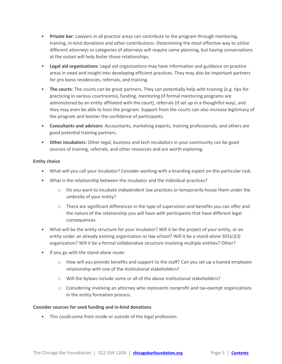- **Private bar**: Lawyers in all practice areas can contribute to the program through mentoring, training, in-kind donations and other contributions. Determining the most effective way to utilize different attorneys or categories of attorneys will require some planning, but having conversations at the outset will help foster those relationships.
- **Legal aid organizations**: Legal aid organizations may have information and guidance on practice areas in need and insight into developing efficient practices. They may also be important partners for pro bono residencies, referrals, and training.
- **The courts**: The courts can be great partners. They can potentially help with training (e.g. tips for practicing in various courtrooms), funding, mentoring (if formal mentoring programs are administered by an entity affiliated with the court), referrals (if set up in a thoughtful way), and they may even be able to host the program. Support from the courts can also increase legitimacy of the program and bolster the confidence of participants.
- **Consultants and advisors**: Accountants, marketing experts, training professionals, and others are good potential training partners.
- **Other incubators**: Other legal, business and tech incubators in your community can be good sources of training, referrals, and other resources and are worth exploring.

#### **Entity choice**

- What will you call your incubator? Consider working with a branding expert on this particular task.
- What is the relationship between the incubator and the individual practices?
	- $\circ$  Do you want to incubate independent law practices or temporarily house them under the umbrella of your entity?
	- $\circ$  There are significant differences in the type of supervision and benefits you can offer and the nature of the relationship you will have with participants that have different legal consequences.
- What will be the entity structure for your incubator? Will it be the project of your entity, or an entity under an already existing organization or law school? Will it be a stand-alone 501(c)(3) organization? Will it be a formal collaborative structure involving multiple entities? Other?
- If you go with the stand-alone route:
	- $\circ$  How will you provide benefits and support to the staff? Can you set up a loaned employee relationship with one of the institutional stakeholders?
	- o Will the bylaws include some or all of the above institutional stakeholders?
	- $\circ$  Considering involving an attorney who represents nonprofit and tax-exempt organizations in the entity formation process.

#### **Consider sources for seed funding and in-kind donations**

• This could come from inside or outside of the legal profession.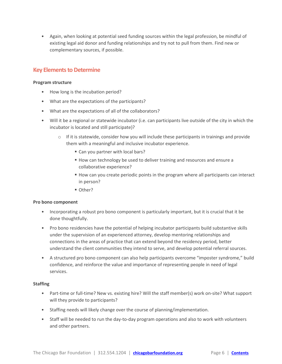<span id="page-5-0"></span>• Again, when looking at potential seed funding sources within the legal profession, be mindful of existing legal aid donor and funding relationships and try not to pull from them. Find new or complementary sources, if possible.

# **Key Elements to Determine**

#### **Program structure**

- How long is the incubation period?
- What are the expectations of the participants?
- What are the expectations of all of the collaborators?
- Will it be a regional or statewide incubator (i.e. can participants live outside of the city in which the incubator is located and still participate)?
	- $\circ$  If it is statewide, consider how you will include these participants in trainings and provide them with a meaningful and inclusive incubator experience.
		- Can you partner with local bars?
		- How can technology be used to deliver training and resources and ensure a collaborative experience?
		- How can you create periodic points in the program where all participants can interact in person?
		- Other?

#### **Pro bono component**

- Incorporating a robust pro bono component is particularly important, but it is crucial that it be done thoughtfully.
- Pro bono residencies have the potential of helping incubator participants build substantive skills under the supervision of an experienced attorney, develop mentoring relationships and connections in the areas of practice that can extend beyond the residency period, better understand the client communities they intend to serve, and develop potential referral sources.
- A structured pro bono component can also help participants overcome "imposter syndrome," build confidence, and reinforce the value and importance of representing people in need of legal services.

#### **Staffing**

- Part-time or full-time? New vs. existing hire? Will the staff member(s) work on-site? What support will they provide to participants?
- Staffing needs will likely change over the course of planning/implementation.
- Staff will be needed to run the day-to-day program operations and also to work with volunteers and other partners.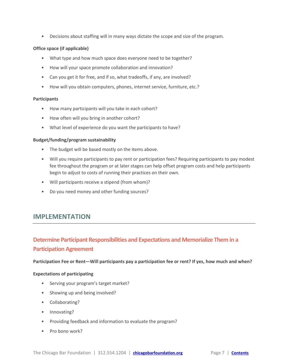• Decisions about staffing will in many ways dictate the scope and size of the program.

#### **Office space (if applicable)**

- What type and how much space does everyone need to be together?
- How will your space promote collaboration and innovation?
- Can you get it for free, and if so, what tradeoffs, if any, are involved?
- How will you obtain computers, phones, internet service, furniture, etc.?

#### **Participants**

- How many participants will you take in each cohort?
- How often will you bring in another cohort?
- What level of experience do you want the participants to have?

#### **Budget/funding/program sustainability**

- The budget will be based mostly on the items above.
- Will you require participants to pay rent or participation fees? Requiring participants to pay modest fee throughout the program or at later stages can help offset program costs and help participants begin to adjust to costs of running their practices on their own.
- Will participants receive a stipend (from whom)?
- <span id="page-6-0"></span>• Do you need money and other funding sources?

# **IMPLEMENTATION**

# <span id="page-6-1"></span>**Determine Participant Responsibilities and Expectations and Memorialize Them in a Participation Agreement**

**Participation Fee or Rent—Will participants pay a participation fee or rent? If yes, how much and when?**

#### **Expectations of participating**

- Serving your program's target market?
- Showing up and being involved?
- Collaborating?
- Innovating?
- Providing feedback and information to evaluate the program?
- Pro bono work?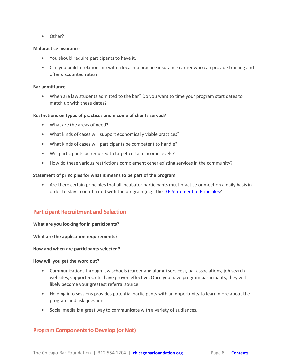• Other?

#### **Malpractice insurance**

- You should require participants to have it.
- Can you build a relationship with a local malpractice insurance carrier who can provide training and offer discounted rates?

#### **Bar admittance**

• When are law students admitted to the bar? Do you want to time your program start dates to match up with these dates?

#### **Restrictions on types of practices and income of clients served?**

- What are the areas of need?
- What kinds of cases will support economically viable practices?
- What kinds of cases will participants be competent to handle?
- Will participants be required to target certain income levels?
- How do these various restrictions complement other existing services in the community?

#### **Statement of principles for what it means to be part of the program**

• Are there certain principles that all incubator participants must practice or meet on a daily basis in order to stay in or affiliated with the program (e.g., the [JEP Statement of Principles?](https://info.jepchicago.org/jep-standards-and-feedback/)

# <span id="page-7-0"></span>**Participant Recruitment and Selection**

#### **What are you looking for in participants?**

**What are the application requirements?**

#### **How and when are participants selected?**

#### **How will you get the word out?**

- Communications through law schools (career and alumni services), bar associations, job search websites, supporters, etc. have proven effective. Once you have program participants, they will likely become your greatest referral source.
- Holding info sessions provides potential participants with an opportunity to learn more about the program and ask questions.
- <span id="page-7-1"></span>• Social media is a great way to communicate with a variety of audiences.

# **Program Components to Develop (or Not)**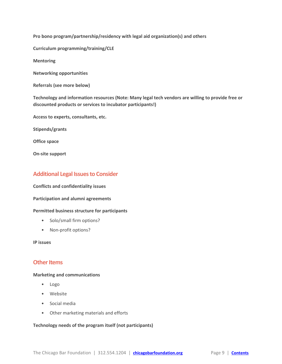**Pro bono program/partnership/residency with legal aid organization(s) and others**

**Curriculum programming/training/CLE**

**Mentoring**

**Networking opportunities**

**Referrals (see more below)**

**Technology and information resources (Note: Many legal tech vendors are willing to provide free or discounted products or services to incubator participants!)**

**Access to experts, consultants, etc.**

**Stipends/grants**

**Office space**

<span id="page-8-0"></span>**On-site support**

# **Additional Legal Issues to Consider**

**Conflicts and confidentiality issues**

#### **Participation and alumni agreements**

#### **Permitted business structure for participants**

- Solo/small firm options?
- Non-profit options?

<span id="page-8-1"></span>**IP issues**

#### **Other Items**

#### **Marketing and communications**

- Logo
- Website
- Social media
- Other marketing materials and efforts

#### **Technology needs of the program itself (not participants)**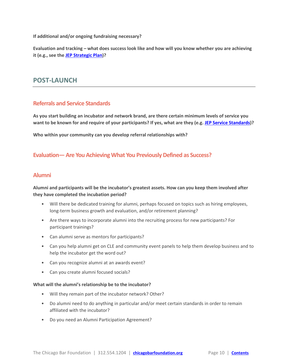**If additional and/or ongoing fundraising necessary?**

<span id="page-9-0"></span>**Evaluation and tracking – what does success look like and how will you know whether you are achieving it (e.g., see the [JEP Strategic Plan\)](https://chicagobarfoundation.org/pdf/jep/strategic-plan.pdf)?**

# **POST-LAUNCH**

# <span id="page-9-1"></span>**Referrals and Service Standards**

**As you start building an incubator and network brand, are there certain minimum levels of service you want to be known for and require of your participants? If yes, what are they (e.g[. JEP Service Standards\)](http://info.jepchicago.org/jep-standards-and-feedback/#tab-id-2)?**

<span id="page-9-2"></span>**Who within your community can you develop referral relationships with?**

# <span id="page-9-3"></span>**Evaluation— Are You Achieving What You Previously Defined as Success?**

# **Alumni**

## **Alumni and participants will be the incubator's greatest assets. How can you keep them involved after they have completed the incubation period?**

- Will there be dedicated training for alumni, perhaps focused on topics such as hiring employees, long-term business growth and evaluation, and/or retirement planning?
- Are there ways to incorporate alumni into the recruiting process for new participants? For participant trainings?
- Can alumni serve as mentors for participants?
- Can you help alumni get on CLE and community event panels to help them develop business and to help the incubator get the word out?
- Can you recognize alumni at an awards event?
- Can you create alumni focused socials?

#### **What will the alumni's relationship be to the incubator?**

- Will they remain part of the incubator network? Other?
- Do alumni need to do anything in particular and/or meet certain standards in order to remain affiliated with the incubator?
- Do you need an Alumni Participation Agreement?